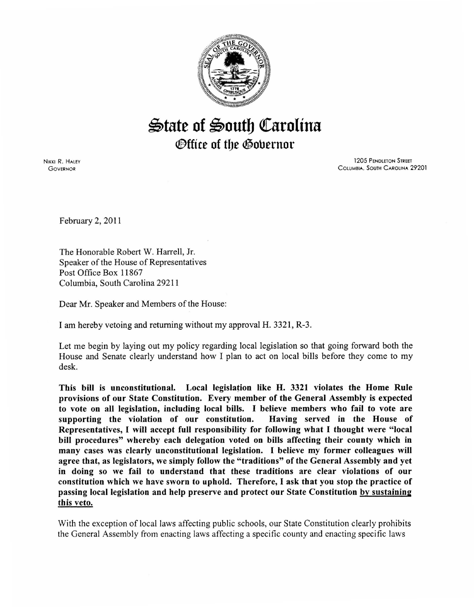

## $\mathfrak{S}$ tate of  $\mathfrak{S}$ outh Carolina *Office of the Governor*

NIKKI R. HALEY **GOVERNOR** 

1205 PENDLETON STREET CoLUMBIA, SouTH CAROLINA 29201

February 2, 2011

The Honorable Robert W. Harrell, Jr. Speaker of the House of Representatives Post Office Box 11867 Columbia, South Carolina 29211

Dear Mr. Speaker and Members of the House:

I am hereby vetoing and returning without my approval H. 3321, R-3.

Let me begin by laying out my policy regarding local legislation so that going forward both the House and Senate clearly understand how I plan to act on local bills before they come to my desk.

This bill is unconstitutional. Local legislation like H. 3321 violates the Home Rule provisions of our State Constitution. Every member of the General Assembly is expected to vote on all legislation, including local bills. I believe members who fail to vote are supporting the violation of our constitution. Having served in the House of Representatives, I will accept full responsibility for following what I thought were "local bill procedures" whereby each delegation voted on bills affecting their county which in many cases was clearly unconstitutional legislation. I believe my former colleagues will agree that, as legislators, we simply follow the "traditions" of the General Assembly and yet in doing so we fail to understand that these traditions are clear violations of our constitution which we have sworn to uphold. Therefore, I ask that you stop the practice of passing local legislation and help preserve and protect our State Constitution by sustaining this veto.

With the exception of local laws affecting public schools, our State Constitution clearly prohibits the General Assembly from enacting laws affecting a specific county and enacting specific laws